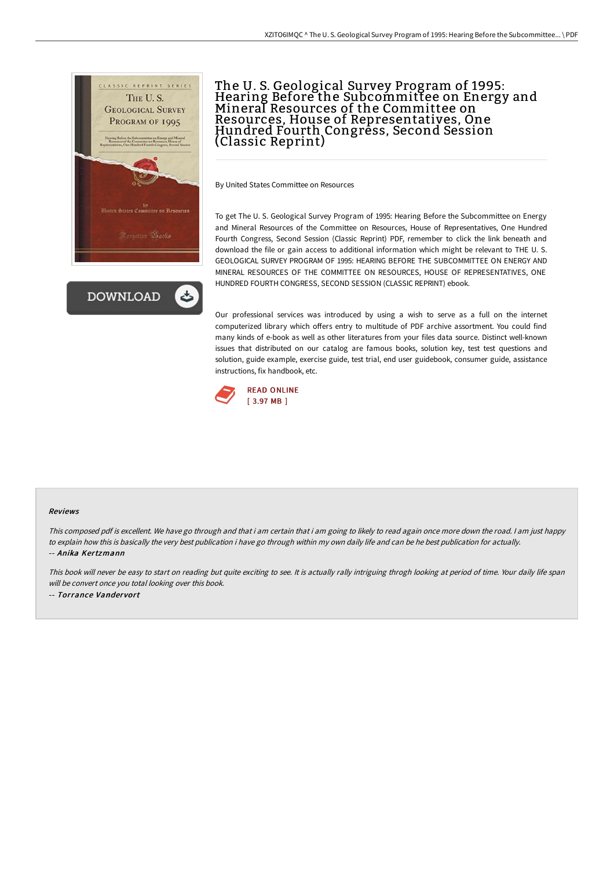

**DOWNLOAD** 

## The U. S. Geological Survey Program of 1995: Hearing Before the Subcommittee on Energy and Mineral Resources of the Committee on Resources, House of Representatives, One Hundred Fourth Congress, Second Session (Classic Reprint)

By United States Committee on Resources

To get The U. S. Geological Survey Program of 1995: Hearing Before the Subcommittee on Energy and Mineral Resources of the Committee on Resources, House of Representatives, One Hundred Fourth Congress, Second Session (Classic Reprint) PDF, remember to click the link beneath and download the file or gain access to additional information which might be relevant to THE U. S. GEOLOGICAL SURVEY PROGRAM OF 1995: HEARING BEFORE THE SUBCOMMITTEE ON ENERGY AND MINERAL RESOURCES OF THE COMMITTEE ON RESOURCES, HOUSE OF REPRESENTATIVES, ONE HUNDRED FOURTH CONGRESS, SECOND SESSION (CLASSIC REPRINT) ebook.

Our professional services was introduced by using a wish to serve as a full on the internet computerized library which offers entry to multitude of PDF archive assortment. You could find many kinds of e-book as well as other literatures from your files data source. Distinct well-known issues that distributed on our catalog are famous books, solution key, test test questions and solution, guide example, exercise guide, test trial, end user guidebook, consumer guide, assistance instructions, fix handbook, etc.



#### Reviews

This composed pdf is excellent. We have go through and that i am certain that i am going to likely to read again once more down the road. <sup>I</sup> am just happy to explain how this is basically the very best publication i have go through within my own daily life and can be he best publication for actually. -- Anika Kertzmann

This book will never be easy to start on reading but quite exciting to see. It is actually rally intriguing throgh looking at period of time. Your daily life span will be convert once you total looking over this book. -- Torrance Vandervort